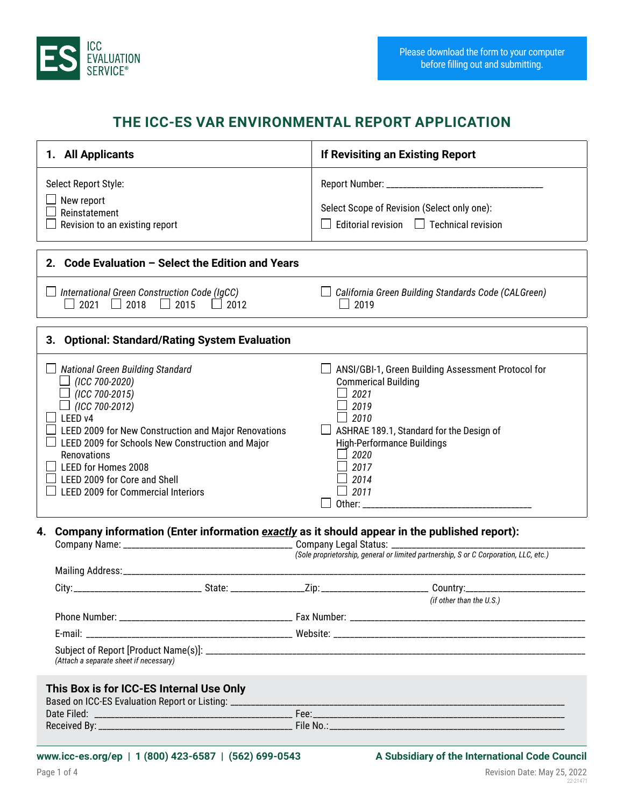

## **THE ICC-ES VAR ENVIRONMENTAL REPORT APPLICATION**

| 1. All Applicants                                                                                                                                                                                                                                                                                                                                     | If Revisiting an Existing Report                                                                                                                                                                                                                       |
|-------------------------------------------------------------------------------------------------------------------------------------------------------------------------------------------------------------------------------------------------------------------------------------------------------------------------------------------------------|--------------------------------------------------------------------------------------------------------------------------------------------------------------------------------------------------------------------------------------------------------|
| Select Report Style:<br>$\Box$ New report<br>Reinstatement<br>×.<br>$\Box$<br>Revision to an existing report                                                                                                                                                                                                                                          | Select Scope of Revision (Select only one):<br>Editorial revision $\Box$ Technical revision<br>$\Box$                                                                                                                                                  |
| 2. Code Evaluation - Select the Edition and Years                                                                                                                                                                                                                                                                                                     |                                                                                                                                                                                                                                                        |
| $\Box$ International Green Construction Code (IgCC)<br>$\Box$ 2021 $\Box$ 2018 $\Box$ 2015 $\Box$ 2012                                                                                                                                                                                                                                                | $\Box$ California Green Building Standards Code (CALGreen)<br>$\Box$ 2019                                                                                                                                                                              |
| 3. Optional: Standard/Rating System Evaluation                                                                                                                                                                                                                                                                                                        |                                                                                                                                                                                                                                                        |
| <b>National Green Building Standard</b><br>$\Box$ (ICC 700-2020)<br>$\Box$ (ICC 700-2015)<br>(ICC 700-2012)<br>LEED v4<br>LEED 2009 for New Construction and Major Renovations<br>LEED 2009 for Schools New Construction and Major<br>Renovations<br>LEED for Homes 2008<br>LEED 2009 for Core and Shell<br><b>LEED 2009 for Commercial Interiors</b> | ANSI/GBI-1, Green Building Assessment Protocol for<br><b>Commerical Building</b><br>2021<br>$\Box$ 2019<br>$\Box$ 2010<br>ASHRAE 189.1, Standard for the Design of<br><b>High-Performance Buildings</b><br>2020<br>$\Box$ 2017<br>$\perp$ 2014<br>2011 |
| Company information (Enter information exactly as it should appear in the published report):<br>4.                                                                                                                                                                                                                                                    |                                                                                                                                                                                                                                                        |
|                                                                                                                                                                                                                                                                                                                                                       |                                                                                                                                                                                                                                                        |
|                                                                                                                                                                                                                                                                                                                                                       | (if other than the U.S.)                                                                                                                                                                                                                               |
|                                                                                                                                                                                                                                                                                                                                                       |                                                                                                                                                                                                                                                        |
| (Attach a separate sheet if necessary)                                                                                                                                                                                                                                                                                                                |                                                                                                                                                                                                                                                        |
| This Box is for ICC-ES Internal Use Only                                                                                                                                                                                                                                                                                                              |                                                                                                                                                                                                                                                        |

22-21471

Page 1 of 4 Revision Date: May 25, 2022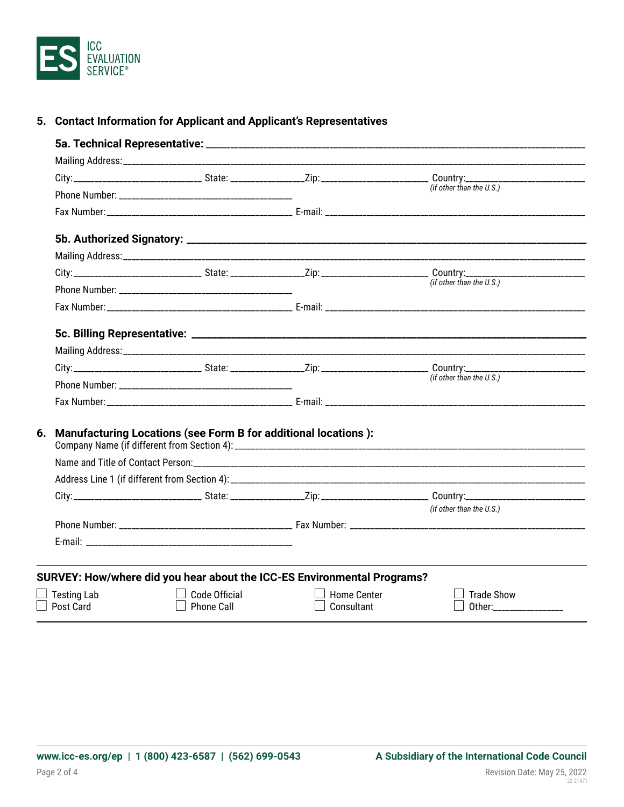

|  | 5. Contact Information for Applicant and Applicant's Representatives |  |  |  |
|--|----------------------------------------------------------------------|--|--|--|
|--|----------------------------------------------------------------------|--|--|--|

|                                 |                                                                   |                                                                         | (if other than the $U.S.$ )                    |
|---------------------------------|-------------------------------------------------------------------|-------------------------------------------------------------------------|------------------------------------------------|
|                                 |                                                                   |                                                                         |                                                |
|                                 |                                                                   |                                                                         |                                                |
|                                 |                                                                   |                                                                         |                                                |
|                                 |                                                                   |                                                                         |                                                |
|                                 |                                                                   |                                                                         | (if other than the U.S.)                       |
|                                 |                                                                   |                                                                         |                                                |
|                                 |                                                                   |                                                                         |                                                |
|                                 |                                                                   |                                                                         |                                                |
|                                 |                                                                   |                                                                         |                                                |
|                                 |                                                                   |                                                                         | (if other than the U.S.)                       |
|                                 |                                                                   |                                                                         |                                                |
|                                 |                                                                   |                                                                         |                                                |
|                                 | 6. Manufacturing Locations (see Form B for additional locations): |                                                                         |                                                |
|                                 |                                                                   |                                                                         |                                                |
|                                 |                                                                   |                                                                         |                                                |
|                                 |                                                                   |                                                                         |                                                |
|                                 |                                                                   |                                                                         | (if other than the U.S.)                       |
|                                 |                                                                   |                                                                         |                                                |
|                                 |                                                                   |                                                                         |                                                |
|                                 |                                                                   | SURVEY: How/where did you hear about the ICC-ES Environmental Programs? |                                                |
| <b>Testing Lab</b><br>Post Card | Code Official<br>Phone Call                                       | <b>Home Center</b>                                                      | <b>Trade Show</b><br>Other:___________________ |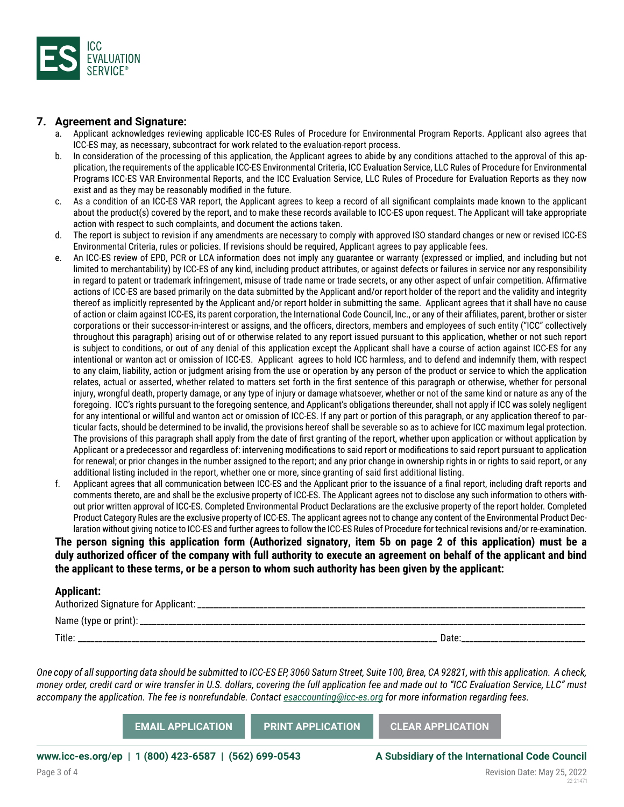

## **7. Agreement and Signature:**

- a. Applicant acknowledges reviewing applicable ICC-ES Rules of Procedure for Environmental Program Reports. Applicant also agrees that ICC-ES may, as necessary, subcontract for work related to the evaluation-report process.
- b. In consideration of the processing of this application, the Applicant agrees to abide by any conditions attached to the approval of this application, the requirements of the applicable ICC-ES Environmental Criteria, ICC Evaluation Service, LLC Rules of Procedure for Environmental Programs ICC-ES VAR Environmental Reports, and the ICC Evaluation Service, LLC Rules of Procedure for Evaluation Reports as they now exist and as they may be reasonably modified in the future.
- c. As a condition of an ICC-ES VAR report, the Applicant agrees to keep a record of all significant complaints made known to the applicant about the product(s) covered by the report, and to make these records available to ICC-ES upon request. The Applicant will take appropriate action with respect to such complaints, and document the actions taken.
- d. The report is subject to revision if any amendments are necessary to comply with approved ISO standard changes or new or revised ICC-ES Environmental Criteria, rules or policies. If revisions should be required, Applicant agrees to pay applicable fees.
- e. An ICC-ES review of EPD, PCR or LCA information does not imply any guarantee or warranty (expressed or implied, and including but not limited to merchantability) by ICC-ES of any kind, including product attributes, or against defects or failures in service nor any responsibility in regard to patent or trademark infringement, misuse of trade name or trade secrets, or any other aspect of unfair competition. Affirmative actions of ICC-ES are based primarily on the data submitted by the Applicant and/or report holder of the report and the validity and integrity thereof as implicitly represented by the Applicant and/or report holder in submitting the same. Applicant agrees that it shall have no cause of action or claim against ICC-ES, its parent corporation, the International Code Council, Inc., or any of their affiliates, parent, brother or sister corporations or their successor-in-interest or assigns, and the officers, directors, members and employees of such entity ("ICC" collectively throughout this paragraph) arising out of or otherwise related to any report issued pursuant to this application, whether or not such report is subject to conditions, or out of any denial of this application except the Applicant shall have a course of action against ICC-ES for any intentional or wanton act or omission of ICC-ES. Applicant agrees to hold ICC harmless, and to defend and indemnify them, with respect to any claim, liability, action or judgment arising from the use or operation by any person of the product or service to which the application relates, actual or asserted, whether related to matters set forth in the first sentence of this paragraph or otherwise, whether for personal injury, wrongful death, property damage, or any type of injury or damage whatsoever, whether or not of the same kind or nature as any of the foregoing. ICC's rights pursuant to the foregoing sentence, and Applicant's obligations thereunder, shall not apply if ICC was solely negligent for any intentional or willful and wanton act or omission of ICC-ES. If any part or portion of this paragraph, or any application thereof to particular facts, should be determined to be invalid, the provisions hereof shall be severable so as to achieve for ICC maximum legal protection. The provisions of this paragraph shall apply from the date of first granting of the report, whether upon application or without application by Applicant or a predecessor and regardless of: intervening modifications to said report or modifications to said report pursuant to application for renewal; or prior changes in the number assigned to the report; and any prior change in ownership rights in or rights to said report, or any additional listing included in the report, whether one or more, since granting of said first additional listing.
- f. Applicant agrees that all communication between ICC-ES and the Applicant prior to the issuance of a final report, including draft reports and comments thereto, are and shall be the exclusive property of ICC-ES. The Applicant agrees not to disclose any such information to others without prior written approval of ICC-ES. Completed Environmental Product Declarations are the exclusive property of the report holder. Completed Product Category Rules are the exclusive property of ICC-ES. The applicant agrees not to change any content of the Environmental Product Declaration without giving notice to ICC-ES and further agrees to follow the ICC-ES Rules of Procedure for technical revisions and/or re-examination.

**The person signing this application form (Authorized signatory, item 5b on page 2 of this application) must be a duly authorized officer of the company with full authority to execute an agreement on behalf of the applicant and bind the applicant to these terms, or be a person to whom such authority has been given by the applicant:**

## **Applicant:**

| ----<br>Authorized Signature for Applicant:<br>-------- |      |
|---------------------------------------------------------|------|
| Name (type or print):                                   |      |
| Title                                                   | Jale |

*One copy of all supporting data should be submitted to ICC-ES EP, 3060 Saturn Street, Suite 100, Brea, CA 92821, with this application. A check, money order, credit card or wire transfer in U.S. dollars, covering the full application fee and made out to "ICC Evaluation Service, LLC" must accompany the application. The fee is nonrefundable. Contact [esaccounting@icc-es.org](mailto:esaccounting%40icc-es.org?subject=) for more information regarding fees.*

| <b>EMAIL APPLICATION '</b> | <b>PRINT APPLICATION</b> | <b>CLEAR APPLICATION</b> |
|----------------------------|--------------------------|--------------------------|
|----------------------------|--------------------------|--------------------------|

**www.icc-es.org/ep | 1 (800) 423-6587 | (562) 699-0543 A Subsidiary of the International Code Council**